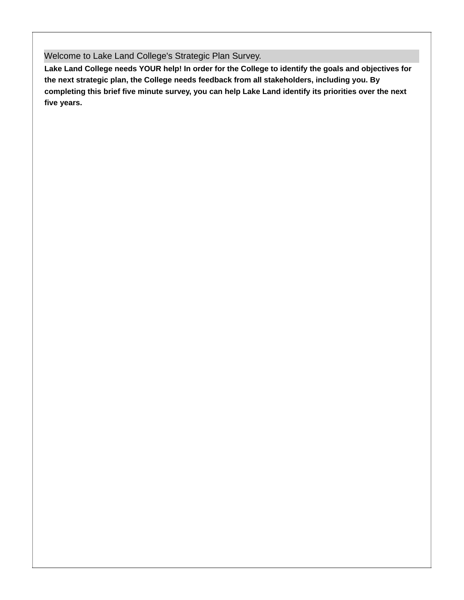Welcome to Lake Land College's Strategic Plan Survey.

Lake Land College needs YOUR help! In order for the College to identify the goals and objectives for **the next strategic plan, the College needs feedback from all stakeholders, including you. By completing this brief five minute survey, you can help Lake Land identify its priorities over the next five years.**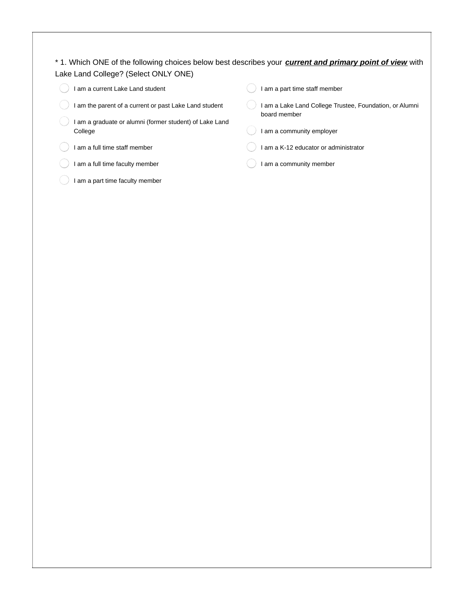## \* 1. Which ONE of the following choices below best describes your *current and primary point of view* with Lake Land College? (Select ONLY ONE)

| am a current Lake Land student                                   | I am a part time staff member                           |
|------------------------------------------------------------------|---------------------------------------------------------|
| am the parent of a current or past Lake Land student             | I am a Lake Land College Trustee, Foundation, or Alumni |
| am a graduate or alumni (former student) of Lake Land<br>College | board member<br>I am a community employer               |
| am a full time staff member                                      | I am a K-12 educator or administrator                   |
| am a full time faculty member                                    | I am a community member                                 |
| am a part time faculty member                                    |                                                         |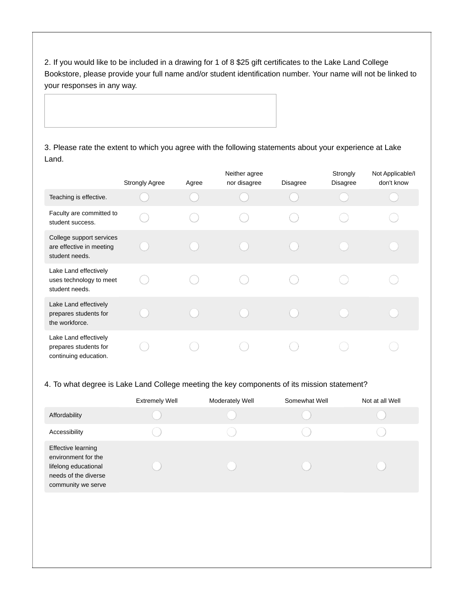2. If you would like to be included in a drawing for 1 of 8 \$25 gift certificates to the Lake Land College Bookstore, please provide your full name and/or student identification number. Your name will not be linked to your responses in any way.

3. Please rate the extent to which you agree with the following statements about your experience at Lake Land.

|                                                                         | <b>Strongly Agree</b> | Agree | Neither agree<br>nor disagree | Disagree | Strongly<br><b>Disagree</b> | Not Applicable/I<br>don't know |
|-------------------------------------------------------------------------|-----------------------|-------|-------------------------------|----------|-----------------------------|--------------------------------|
| Teaching is effective.                                                  |                       |       |                               |          |                             |                                |
| Faculty are committed to<br>student success.                            |                       |       |                               |          |                             |                                |
| College support services<br>are effective in meeting<br>student needs.  |                       |       |                               |          |                             |                                |
| Lake Land effectively<br>uses technology to meet<br>student needs.      |                       |       |                               |          |                             |                                |
| Lake Land effectively<br>prepares students for<br>the workforce.        |                       |       |                               |          |                             |                                |
| Lake Land effectively<br>prepares students for<br>continuing education. |                       |       |                               |          |                             |                                |

## 4. To what degree is Lake Land College meeting the key components of its mission statement?

|                                                                                                                        | <b>Extremely Well</b> | Moderately Well | Somewhat Well | Not at all Well |
|------------------------------------------------------------------------------------------------------------------------|-----------------------|-----------------|---------------|-----------------|
| Affordability                                                                                                          |                       |                 |               |                 |
| Accessibility                                                                                                          |                       |                 |               |                 |
| <b>Effective learning</b><br>environment for the<br>lifelong educational<br>needs of the diverse<br>community we serve |                       |                 |               |                 |
|                                                                                                                        |                       |                 |               |                 |
|                                                                                                                        |                       |                 |               |                 |
|                                                                                                                        |                       |                 |               |                 |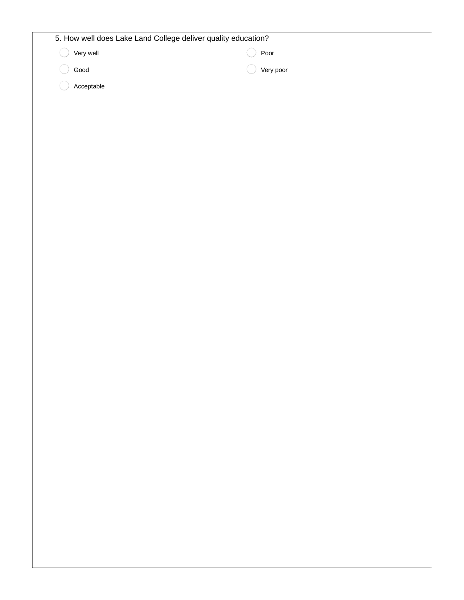| 5. How well does Lake Land College deliver quality education? |           |  |  |
|---------------------------------------------------------------|-----------|--|--|
| Very well                                                     | Poor      |  |  |
| Good                                                          | Very poor |  |  |
| Acceptable                                                    |           |  |  |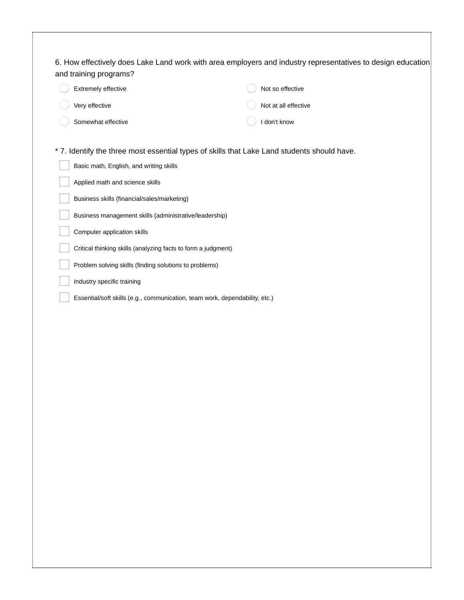| Extremely effective                                                         | Not so effective                                                                            |
|-----------------------------------------------------------------------------|---------------------------------------------------------------------------------------------|
| Very effective                                                              | Not at all effective                                                                        |
| Somewhat effective                                                          | I don't know                                                                                |
|                                                                             |                                                                                             |
|                                                                             | * 7. Identify the three most essential types of skills that Lake Land students should have. |
| Basic math, English, and writing skills                                     |                                                                                             |
| Applied math and science skills                                             |                                                                                             |
| Business skills (financial/sales/marketing)                                 |                                                                                             |
| Business management skills (administrative/leadership)                      |                                                                                             |
| Computer application skills                                                 |                                                                                             |
| Critical thinking skills (analyzing facts to form a judgment)               |                                                                                             |
| Problem solving skills (finding solutions to problems)                      |                                                                                             |
| Industry specific training                                                  |                                                                                             |
| Essential/soft skills (e.g., communication, team work, dependability, etc.) |                                                                                             |
|                                                                             |                                                                                             |
|                                                                             |                                                                                             |
|                                                                             |                                                                                             |
|                                                                             |                                                                                             |
|                                                                             |                                                                                             |
|                                                                             |                                                                                             |
|                                                                             |                                                                                             |
|                                                                             |                                                                                             |
|                                                                             |                                                                                             |
|                                                                             |                                                                                             |
|                                                                             |                                                                                             |
|                                                                             |                                                                                             |
|                                                                             |                                                                                             |
|                                                                             |                                                                                             |
|                                                                             |                                                                                             |
|                                                                             |                                                                                             |
|                                                                             |                                                                                             |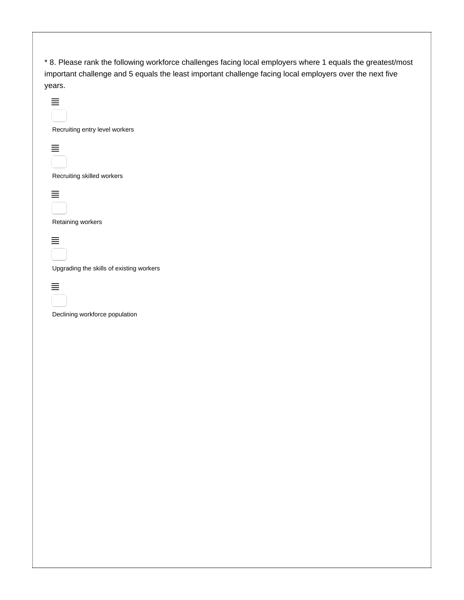\* 8. Please rank the following workforce challenges facing local employers where 1 equals the greatest/most important challenge and 5 equals the least important challenge facing local employers over the next five years.

| Recruiting entry level workers           |
|------------------------------------------|
|                                          |
| Recruiting skilled workers               |
|                                          |
| Retaining workers                        |
|                                          |
| Upgrading the skills of existing workers |
| Declining workforce population           |
|                                          |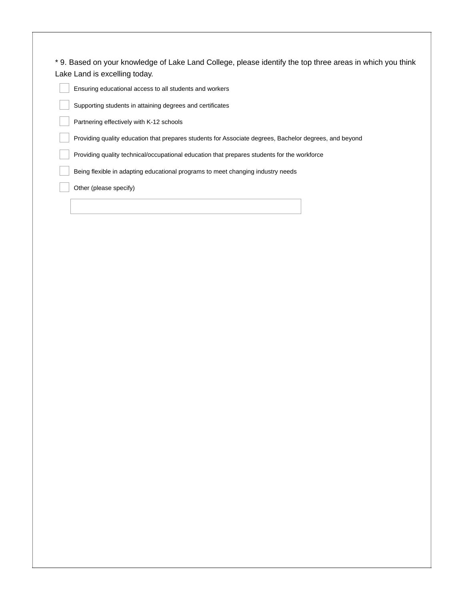| * 9. Based on your knowledge of Lake Land College, please identify the top three areas in which you think |  |
|-----------------------------------------------------------------------------------------------------------|--|
| Lake Land is excelling today.                                                                             |  |

Ensuring educational access to all students and workers

Supporting students in attaining degrees and certificates

Partnering effectively with K-12 schools

Providing quality education that prepares students for Associate degrees, Bachelor degrees, and beyond

Providing quality technical/occupational education that prepares students for the workforce

Being flexible in adapting educational programs to meet changing industry needs

Other (please specify)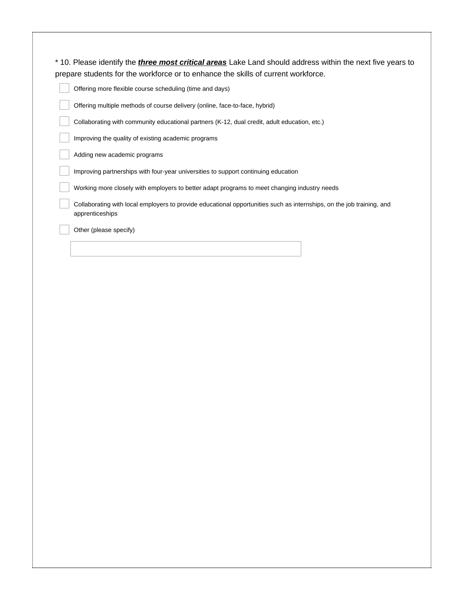| * 10. Please identify the <i>three most critical areas</i> Lake Land should address within the next five years to |
|-------------------------------------------------------------------------------------------------------------------|
| prepare students for the workforce or to enhance the skills of current workforce.                                 |

Offering more flexible course scheduling (time and days)

Offering multiple methods of course delivery (online, face-to-face, hybrid)

Collaborating with community educational partners (K-12, dual credit, adult education, etc.)

Improving the quality of existing academic programs

Adding new academic programs

Improving partnerships with four-year universities to support continuing education

Working more closely with employers to better adapt programs to meet changing industry needs

Collaborating with local employers to provide educational opportunities such as internships, on the job training, and apprenticeships

Other (please specify)